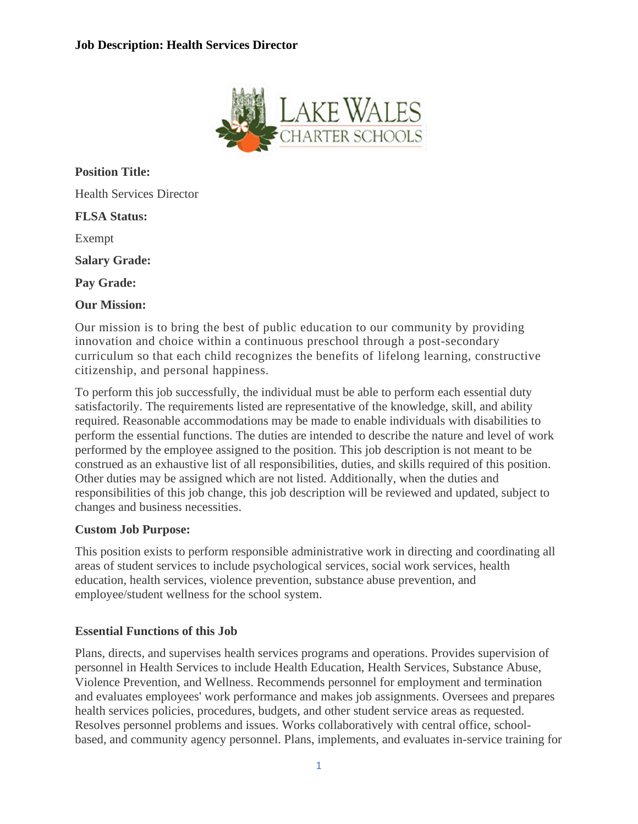

**Position Title:** Health Services Director **FLSA Status:** Exempt **Salary Grade: Pay Grade: Our Mission:**

Our mission is to bring the best of public education to our community by providing innovation and choice within a continuous preschool through a post-secondary curriculum so that each child recognizes the benefits of lifelong learning, constructive citizenship, and personal happiness.

To perform this job successfully, the individual must be able to perform each essential duty satisfactorily. The requirements listed are representative of the knowledge, skill, and ability required. Reasonable accommodations may be made to enable individuals with disabilities to perform the essential functions. The duties are intended to describe the nature and level of work performed by the employee assigned to the position. This job description is not meant to be construed as an exhaustive list of all responsibilities, duties, and skills required of this position. Other duties may be assigned which are not listed. Additionally, when the duties and responsibilities of this job change, this job description will be reviewed and updated, subject to changes and business necessities.

## **Custom Job Purpose:**

This position exists to perform responsible administrative work in directing and coordinating all areas of student services to include psychological services, social work services, health education, health services, violence prevention, substance abuse prevention, and employee/student wellness for the school system.

#### **Essential Functions of this Job**

Plans, directs, and supervises health services programs and operations. Provides supervision of personnel in Health Services to include Health Education, Health Services, Substance Abuse, Violence Prevention, and Wellness. Recommends personnel for employment and termination and evaluates employees' work performance and makes job assignments. Oversees and prepares health services policies, procedures, budgets, and other student service areas as requested. Resolves personnel problems and issues. Works collaboratively with central office, schoolbased, and community agency personnel. Plans, implements, and evaluates in-service training for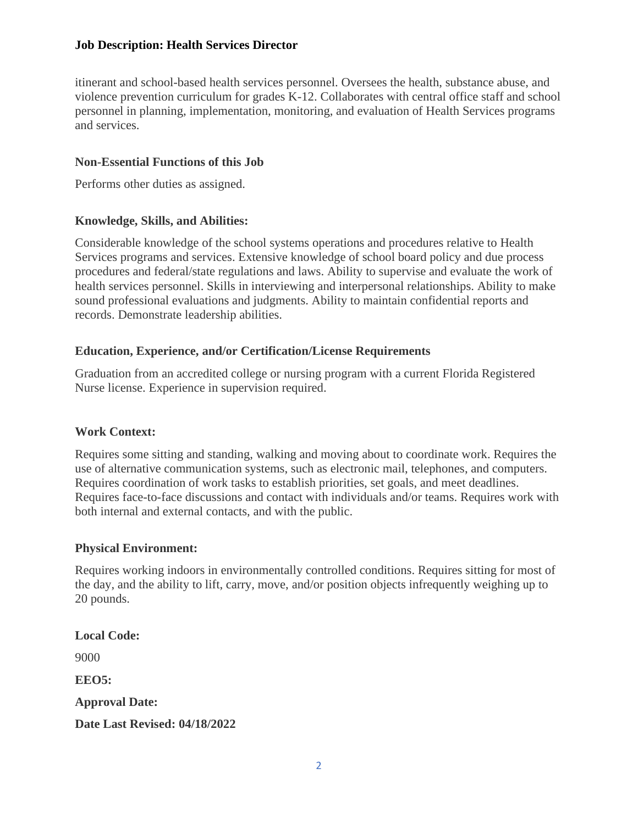## **Job Description: Health Services Director**

itinerant and school-based health services personnel. Oversees the health, substance abuse, and violence prevention curriculum for grades K-12. Collaborates with central office staff and school personnel in planning, implementation, monitoring, and evaluation of Health Services programs and services.

#### **Non-Essential Functions of this Job**

Performs other duties as assigned.

## **Knowledge, Skills, and Abilities:**

Considerable knowledge of the school systems operations and procedures relative to Health Services programs and services. Extensive knowledge of school board policy and due process procedures and federal/state regulations and laws. Ability to supervise and evaluate the work of health services personnel. Skills in interviewing and interpersonal relationships. Ability to make sound professional evaluations and judgments. Ability to maintain confidential reports and records. Demonstrate leadership abilities.

## **Education, Experience, and/or Certification/License Requirements**

Graduation from an accredited college or nursing program with a current Florida Registered Nurse license. Experience in supervision required.

#### **Work Context:**

Requires some sitting and standing, walking and moving about to coordinate work. Requires the use of alternative communication systems, such as electronic mail, telephones, and computers. Requires coordination of work tasks to establish priorities, set goals, and meet deadlines. Requires face-to-face discussions and contact with individuals and/or teams. Requires work with both internal and external contacts, and with the public.

#### **Physical Environment:**

Requires working indoors in environmentally controlled conditions. Requires sitting for most of the day, and the ability to lift, carry, move, and/or position objects infrequently weighing up to 20 pounds.

**Local Code:** 9000 **EEO5: Approval Date: Date Last Revised: 04/18/2022**